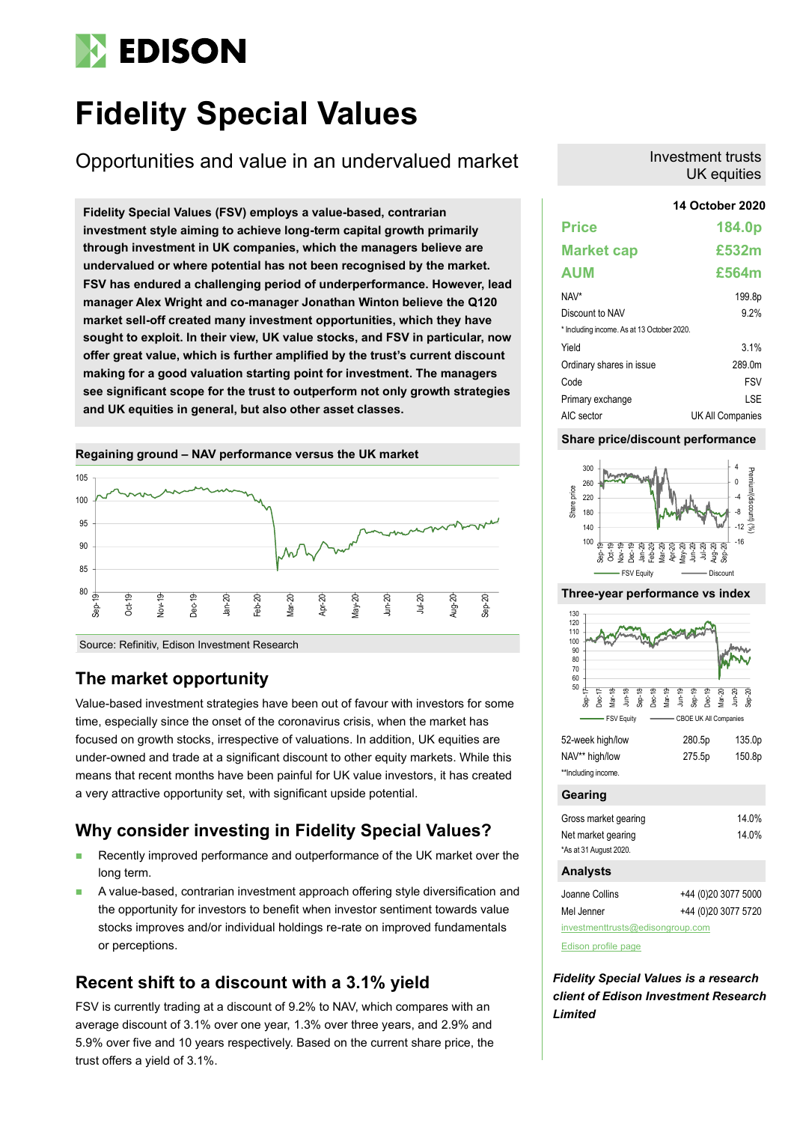# **EDISON**

## **Fidelity Special Values**

Opportunities and value in an undervalued market

**14 October 2020 Fidelity Special Values (FSV) employs a value-based, contrarian investment style aiming to achieve long-term capital growth primarily through investment in UK companies, which the managers believe are undervalued or where potential has not been recognised by the market. FSV has endured a challenging period of underperformance. However, lead manager Alex Wright and co-manager Jonathan Winton believe the Q120 market sell-off created many investment opportunities, which they have sought to exploit. In their view, UK value stocks, and FSV in particular, now offer great value, which is further amplified by the trust's current discount making for a good valuation starting point for investment. The managers see significant scope for the trust to outperform not only growth strategies and UK equities in general, but also other asset classes.**



Source: Refinitiv, Edison Investment Research

### **The market opportunity**

Value-based investment strategies have been out of favour with investors for some time, especially since the onset of the coronavirus crisis, when the market has focused on growth stocks, irrespective of valuations. In addition, UK equities are under-owned and trade at a significant discount to other equity markets. While this means that recent months have been painful for UK value investors, it has created a very attractive opportunity set, with significant upside potential.

### **Why consider investing in Fidelity Special Values?**

- Recently improved performance and outperformance of the UK market over the long term.
- A value-based, contrarian investment approach offering style diversification and the opportunity for investors to benefit when investor sentiment towards value stocks improves and/or individual holdings re-rate on improved fundamentals or perceptions.

### **Recent shift to a discount with a 3.1% yield**

FSV is currently trading at a discount of 9.2% to NAV, which compares with an average discount of 3.1% over one year, 1.3% over three years, and 2.9% and 5.9% over five and 10 years respectively. Based on the current share price, the trust offers a yield of 3.1%.

### Investment trusts UK equities

## **Price 184.0p Market cap £532m AUM £564m**

| NAV*                                       | 199.8p           |
|--------------------------------------------|------------------|
| Discount to NAV                            | 9.2%             |
| * Including income. As at 13 October 2020. |                  |
| Yield                                      | 3.1%             |
| Ordinary shares in issue                   | 289.0m           |
| Code                                       | <b>FSV</b>       |
| Primary exchange                           | LSE              |
| AIC sector                                 | UK All Companies |

### **Share price/discount performance**



### **Three-year performance vs index**



| 52-week high/low    | 280.5p | 135.0p |
|---------------------|--------|--------|
| NAV** high/low      | 275.5p | 150.8p |
| **Including income. |        |        |
|                     |        |        |

### **Gearing**

| Gross market gearing   | 14.0% |
|------------------------|-------|
| Net market gearing     | 14.0% |
| *As at 31 August 2020. |       |

### **Analysts**

| Joanne Collins                   | +44 (0)20 3077 5000 |  |  |  |  |  |  |  |
|----------------------------------|---------------------|--|--|--|--|--|--|--|
| Mel Jenner                       | +44 (0)20 3077 5720 |  |  |  |  |  |  |  |
| investmenttrusts@edisongroup.com |                     |  |  |  |  |  |  |  |

[Edison profile page](https://www.edisongroup.com/company/fidelity-special-values/2822/)

*Fidelity Special Values is a research client of Edison Investment Research Limited*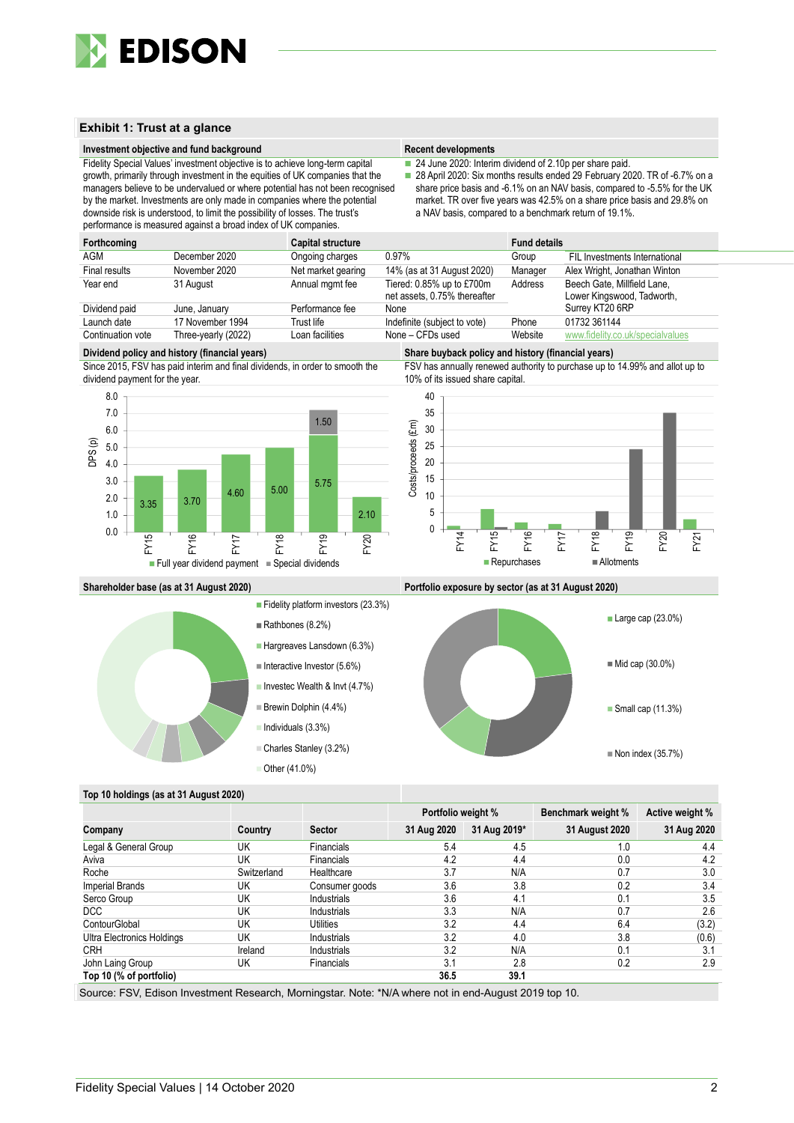

### **Exhibit 1: Trust at a glance**

#### **Investment objective and fund background Recent developments Recent developments**

Fidelity Special Values' investment objective is to achieve long-term capital growth, primarily through investment in the equities of UK companies that the managers believe to be undervalued or where potential has not been recognised by the market. Investments are only made in companies where the potential downside risk is understood, to limit the possibility of losses. The trust's performance is measured against a broad index of UK companies.

■ 24 June 2020: Interim dividend of 2.10p per share paid.

■ 28 April 2020: Six months results ended 29 February 2020. TR of -6.7% on a share price basis and -6.1% on an NAV basis, compared to -5.5% for the UK market. TR over five years was 42.5% on a share price basis and 29.8% on a NAV basis, compared to a benchmark return of 19.1%.

| Forthcoming       |                     | Capital structure  |                                                           | <b>Fund details</b> |                                                           |
|-------------------|---------------------|--------------------|-----------------------------------------------------------|---------------------|-----------------------------------------------------------|
| AGM               | December 2020       | Ongoing charges    | 0.97%                                                     | Group               | FIL Investments International                             |
| Final results     | November 2020       | Net market gearing | 14% (as at 31 August 2020)                                | Manager             | Alex Wright, Jonathan Winton                              |
| Year end          | 31 August           | Annual mgmt fee    | Tiered: 0.85% up to £700m<br>net assets, 0.75% thereafter | Address             | Beech Gate, Millfield Lane,<br>Lower Kingswood, Tadworth, |
| Dividend paid     | June, January       | Performance fee    | None                                                      |                     | Surrey KT20 6RP                                           |
| Launch date       | 17 November 1994    | Trust life         | Indefinite (subject to vote)                              | Phone               | 01732 361144                                              |
| Continuation vote | Three-yearly (2022) | Loan facilities    | None - CFDs used                                          | Website             | www.fidelity.co.uk/specialvalues                          |
|                   |                     |                    |                                                           |                     |                                                           |

**Dividend policy and history (financial years) Share buyback policy and history (financial years)**





FSV has annually renewed authority to purchase up to 14.99% and allot up to 10% of its issued share capital.





**Shareholder base (as at 31 August 2020) Portfolio exposure by sector (as at 31 August 2020)**



### **Top 10 holdings (as at 31 August 2020)**

|                            |             |                   | Portfolio weight % |              | <b>Benchmark weight %</b> | Active weight % |
|----------------------------|-------------|-------------------|--------------------|--------------|---------------------------|-----------------|
| Company                    | Country     | <b>Sector</b>     | 31 Aug 2020        | 31 Aug 2019* | 31 August 2020            | 31 Aug 2020     |
| Legal & General Group      | UK          | <b>Financials</b> | 5.4                | 4.5          | 1.0                       | 4.4             |
| Aviva                      | UK          | <b>Financials</b> | 4.2                | 4.4          | 0.0                       | 4.2             |
| Roche                      | Switzerland | Healthcare        | 3.7                | N/A          | 0.7                       | 3.0             |
| <b>Imperial Brands</b>     | UK          | Consumer goods    | 3.6                | 3.8          | 0.2                       | 3.4             |
| Serco Group                | UK          | Industrials       | 3.6                | 4.1          | 0.1                       | 3.5             |
| DCC                        | UK          | Industrials       | 3.3                | N/A          | 0.7                       | 2.6             |
| ContourGlobal              | UK          | Utilities         | 3.2                | 4.4          | 6.4                       | (3.2)           |
| Ultra Electronics Holdings | UK          | Industrials       | 3.2                | 4.0          | 3.8                       | (0.6)           |
| <b>CRH</b>                 | Ireland     | Industrials       | 3.2                | N/A          | 0.1                       | 3.1             |
| John Laing Group           | UK          | <b>Financials</b> | 3.1                | 2.8          | 0.2                       | 2.9             |
| Top 10 (% of portfolio)    |             |                   | 36.5               | 39.1         |                           |                 |

Source: FSV, Edison Investment Research, Morningstar. Note: \*N/A where not in end-August 2019 top 10.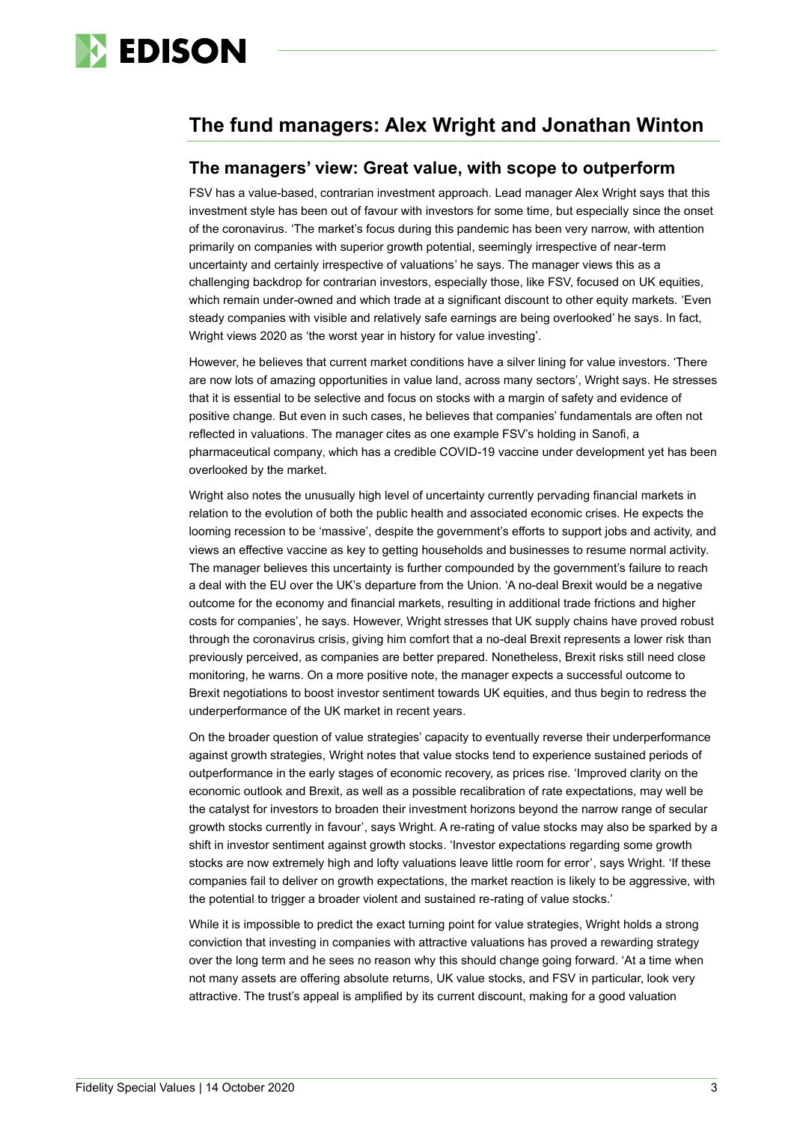

### **The fund managers: Alex Wright and Jonathan Winton**

### **The managers' view: Great value, with scope to outperform**

FSV has a value-based, contrarian investment approach. Lead manager Alex Wright says that this investment style has been out of favour with investors for some time, but especially since the onset of the coronavirus. 'The market's focus during this pandemic has been very narrow, with attention primarily on companies with superior growth potential, seemingly irrespective of near-term uncertainty and certainly irrespective of valuations' he says. The manager views this as a challenging backdrop for contrarian investors, especially those, like FSV, focused on UK equities, which remain under-owned and which trade at a significant discount to other equity markets. 'Even steady companies with visible and relatively safe earnings are being overlooked' he says. In fact, Wright views 2020 as 'the worst year in history for value investing'.

However, he believes that current market conditions have a silver lining for value investors. 'There are now lots of amazing opportunities in value land, across many sectors', Wright says. He stresses that it is essential to be selective and focus on stocks with a margin of safety and evidence of positive change. But even in such cases, he believes that companies' fundamentals are often not reflected in valuations. The manager cites as one example FSV's holding in Sanofi, a pharmaceutical company, which has a credible COVID-19 vaccine under development yet has been overlooked by the market.

Wright also notes the unusually high level of uncertainty currently pervading financial markets in relation to the evolution of both the public health and associated economic crises. He expects the looming recession to be 'massive', despite the government's efforts to support jobs and activity, and views an effective vaccine as key to getting households and businesses to resume normal activity. The manager believes this uncertainty is further compounded by the government's failure to reach a deal with the EU over the UK's departure from the Union. 'A no-deal Brexit would be a negative outcome for the economy and financial markets, resulting in additional trade frictions and higher costs for companies', he says. However, Wright stresses that UK supply chains have proved robust through the coronavirus crisis, giving him comfort that a no-deal Brexit represents a lower risk than previously perceived, as companies are better prepared. Nonetheless, Brexit risks still need close monitoring, he warns. On a more positive note, the manager expects a successful outcome to Brexit negotiations to boost investor sentiment towards UK equities, and thus begin to redress the underperformance of the UK market in recent years.

On the broader question of value strategies' capacity to eventually reverse their underperformance against growth strategies, Wright notes that value stocks tend to experience sustained periods of outperformance in the early stages of economic recovery, as prices rise. 'Improved clarity on the economic outlook and Brexit, as well as a possible recalibration of rate expectations, may well be the catalyst for investors to broaden their investment horizons beyond the narrow range of secular growth stocks currently in favour', says Wright. A re-rating of value stocks may also be sparked by a shift in investor sentiment against growth stocks. 'Investor expectations regarding some growth stocks are now extremely high and lofty valuations leave little room for error', says Wright. 'If these companies fail to deliver on growth expectations, the market reaction is likely to be aggressive, with the potential to trigger a broader violent and sustained re-rating of value stocks.'

While it is impossible to predict the exact turning point for value strategies, Wright holds a strong conviction that investing in companies with attractive valuations has proved a rewarding strategy over the long term and he sees no reason why this should change going forward. 'At a time when not many assets are offering absolute returns, UK value stocks, and FSV in particular, look very attractive. The trust's appeal is amplified by its current discount, making for a good valuation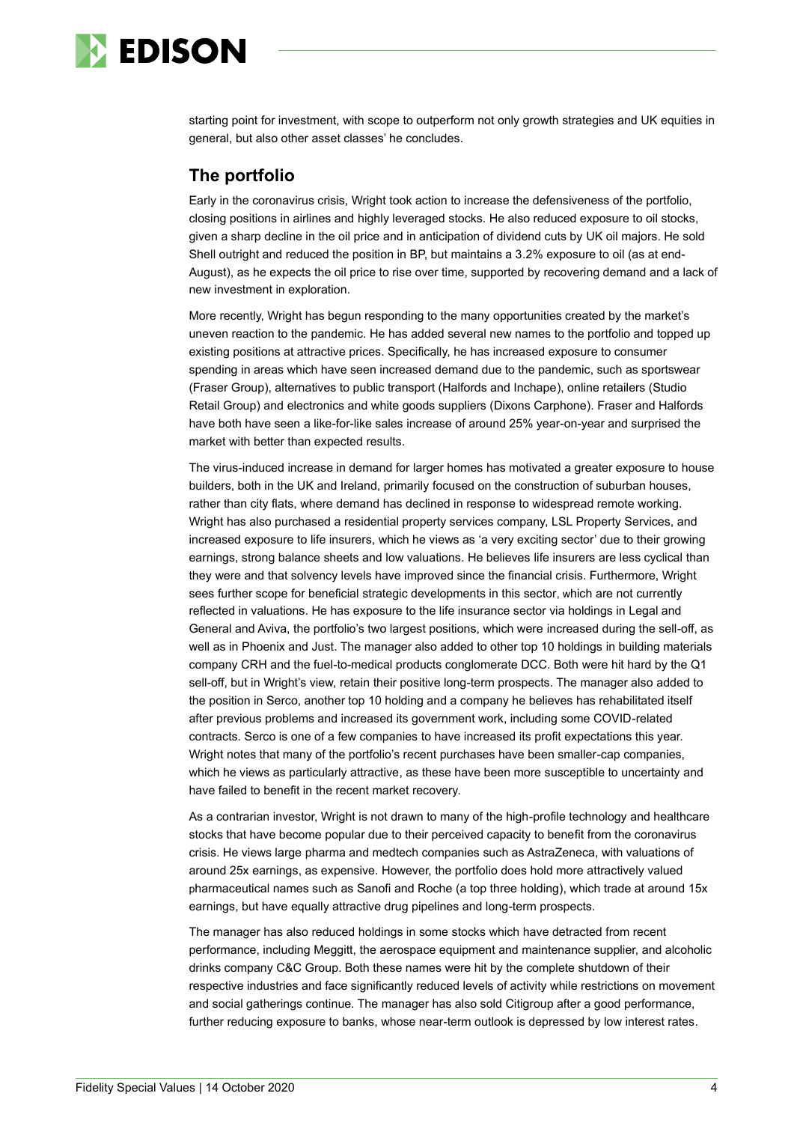

starting point for investment, with scope to outperform not only growth strategies and UK equities in general, but also other asset classes' he concludes.

### **The portfolio**

Early in the coronavirus crisis, Wright took action to increase the defensiveness of the portfolio, closing positions in airlines and highly leveraged stocks. He also reduced exposure to oil stocks, given a sharp decline in the oil price and in anticipation of dividend cuts by UK oil majors. He sold Shell outright and reduced the position in BP, but maintains a 3.2% exposure to oil (as at end-August), as he expects the oil price to rise over time, supported by recovering demand and a lack of new investment in exploration.

More recently, Wright has begun responding to the many opportunities created by the market's uneven reaction to the pandemic. He has added several new names to the portfolio and topped up existing positions at attractive prices. Specifically, he has increased exposure to consumer spending in areas which have seen increased demand due to the pandemic, such as sportswear (Fraser Group), alternatives to public transport (Halfords and Inchape), online retailers (Studio Retail Group) and electronics and white goods suppliers (Dixons Carphone). Fraser and Halfords have both have seen a like-for-like sales increase of around 25% year-on-year and surprised the market with better than expected results.

The virus-induced increase in demand for larger homes has motivated a greater exposure to house builders, both in the UK and Ireland, primarily focused on the construction of suburban houses, rather than city flats, where demand has declined in response to widespread remote working. Wright has also purchased a residential property services company, LSL Property Services, and increased exposure to life insurers, which he views as 'a very exciting sector' due to their growing earnings, strong balance sheets and low valuations. He believes life insurers are less cyclical than they were and that solvency levels have improved since the financial crisis. Furthermore, Wright sees further scope for beneficial strategic developments in this sector, which are not currently reflected in valuations. He has exposure to the life insurance sector via holdings in Legal and General and Aviva, the portfolio's two largest positions, which were increased during the sell-off, as well as in Phoenix and Just. The manager also added to other top 10 holdings in building materials company CRH and the fuel-to-medical products conglomerate DCC. Both were hit hard by the Q1 sell-off, but in Wright's view, retain their positive long-term prospects. The manager also added to the position in Serco, another top 10 holding and a company he believes has rehabilitated itself after previous problems and increased its government work, including some COVID-related contracts. Serco is one of a few companies to have increased its profit expectations this year. Wright notes that many of the portfolio's recent purchases have been smaller-cap companies, which he views as particularly attractive, as these have been more susceptible to uncertainty and have failed to benefit in the recent market recovery.

As a contrarian investor, Wright is not drawn to many of the high-profile technology and healthcare stocks that have become popular due to their perceived capacity to benefit from the coronavirus crisis. He views large pharma and medtech companies such as AstraZeneca, with valuations of around 25x earnings, as expensive. However, the portfolio does hold more attractively valued pharmaceutical names such as Sanofi and Roche (a top three holding), which trade at around 15x earnings, but have equally attractive drug pipelines and long-term prospects.

The manager has also reduced holdings in some stocks which have detracted from recent performance, including Meggitt, the aerospace equipment and maintenance supplier, and alcoholic drinks company C&C Group. Both these names were hit by the complete shutdown of their respective industries and face significantly reduced levels of activity while restrictions on movement and social gatherings continue. The manager has also sold Citigroup after a good performance, further reducing exposure to banks, whose near-term outlook is depressed by low interest rates.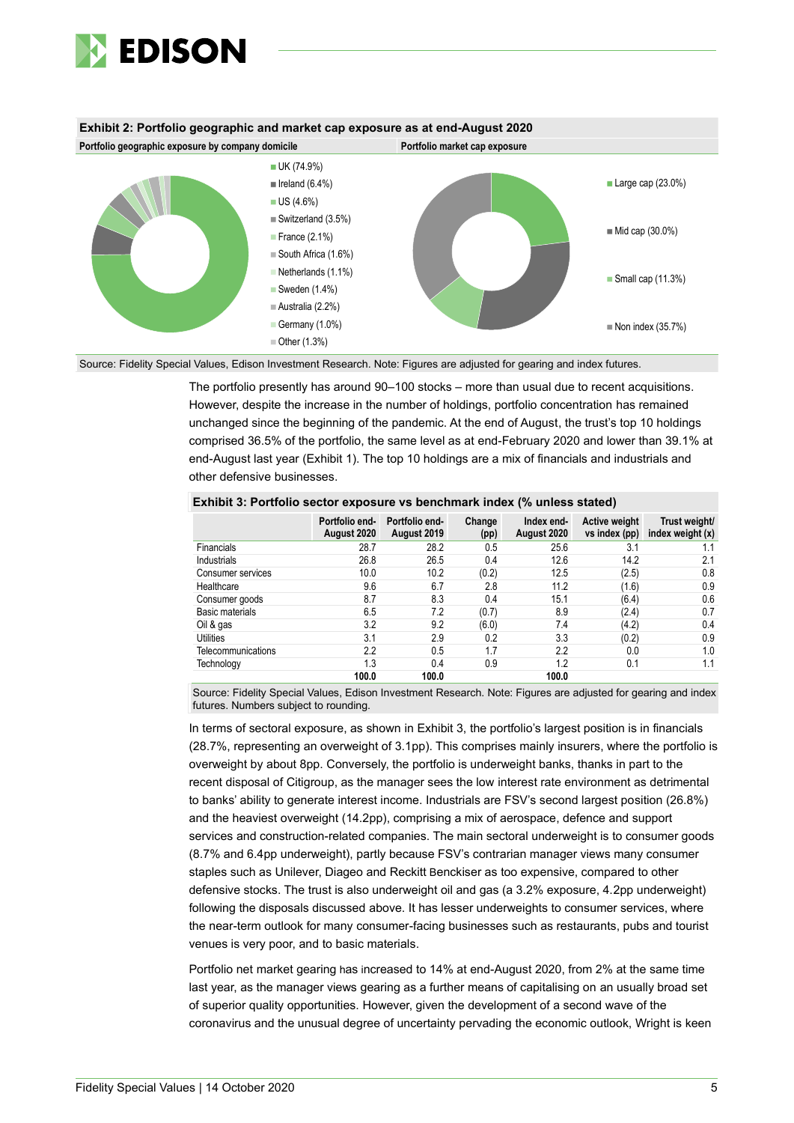



Source: Fidelity Special Values, Edison Investment Research. Note: Figures are adjusted for gearing and index futures.

The portfolio presently has around 90–100 stocks – more than usual due to recent acquisitions. However, despite the increase in the number of holdings, portfolio concentration has remained unchanged since the beginning of the pandemic. At the end of August, the trust's top 10 holdings comprised 36.5% of the portfolio, the same level as at end-February 2020 and lower than 39.1% at end-August last year (Exhibit 1). The top 10 holdings are a mix of financials and industrials and other defensive businesses.

|                    | Portfolio end-<br>August 2020 | Portfolio end-<br>August 2019 | Change<br>(pp) | Index end-<br>August 2020 | Active weight<br>vs index (pp) | Trust weight/<br>index weight (x) |
|--------------------|-------------------------------|-------------------------------|----------------|---------------------------|--------------------------------|-----------------------------------|
| <b>Financials</b>  | 28.7                          | 28.2                          | 0.5            | 25.6                      | 3.1                            | 1.1                               |
| <b>Industrials</b> | 26.8                          | 26.5                          | 0.4            | 12.6                      | 14.2                           | 2.1                               |
| Consumer services  | 10.0                          | 10.2                          | (0.2)          | 12.5                      | (2.5)                          | 0.8                               |
| Healthcare         | 9.6                           | 6.7                           | 2.8            | 11.2                      | (1.6)                          | 0.9                               |
| Consumer goods     | 8.7                           | 8.3                           | 0.4            | 15.1                      | (6.4)                          | 0.6                               |
| Basic materials    | 6.5                           | 7.2                           | (0.7)          | 8.9                       | (2.4)                          | 0.7                               |
| Oil & gas          | 3.2                           | 9.2                           | (6.0)          | 7.4                       | (4.2)                          | 0.4                               |
| Utilities          | 3.1                           | 2.9                           | 0.2            | 3.3                       | (0.2)                          | 0.9                               |
| Telecommunications | 2.2                           | 0.5                           | 1.7            | 2.2                       | 0.0                            | 1.0                               |
| Technology         | 1.3                           | 0.4                           | 0.9            | 1.2                       | 0.1                            | 1.1                               |
|                    | 100.0                         | 100.0                         |                | 100.0                     |                                |                                   |

#### **Exhibit 3: Portfolio sector exposure vs benchmark index (% unless stated)**

Source: Fidelity Special Values, Edison Investment Research. Note: Figures are adjusted for gearing and index futures. Numbers subject to rounding.

In terms of sectoral exposure, as shown in Exhibit 3, the portfolio's largest position is in financials (28.7%, representing an overweight of 3.1pp). This comprises mainly insurers, where the portfolio is overweight by about 8pp. Conversely, the portfolio is underweight banks, thanks in part to the recent disposal of Citigroup, as the manager sees the low interest rate environment as detrimental to banks' ability to generate interest income. Industrials are FSV's second largest position (26.8%) and the heaviest overweight (14.2pp), comprising a mix of aerospace, defence and support services and construction-related companies. The main sectoral underweight is to consumer goods (8.7% and 6.4pp underweight), partly because FSV's contrarian manager views many consumer staples such as Unilever, Diageo and Reckitt Benckiser as too expensive, compared to other defensive stocks. The trust is also underweight oil and gas (a 3.2% exposure, 4.2pp underweight) following the disposals discussed above. It has lesser underweights to consumer services, where the near-term outlook for many consumer-facing businesses such as restaurants, pubs and tourist venues is very poor, and to basic materials.

Portfolio net market gearing has increased to 14% at end-August 2020, from 2% at the same time last year, as the manager views gearing as a further means of capitalising on an usually broad set of superior quality opportunities. However, given the development of a second wave of the coronavirus and the unusual degree of uncertainty pervading the economic outlook, Wright is keen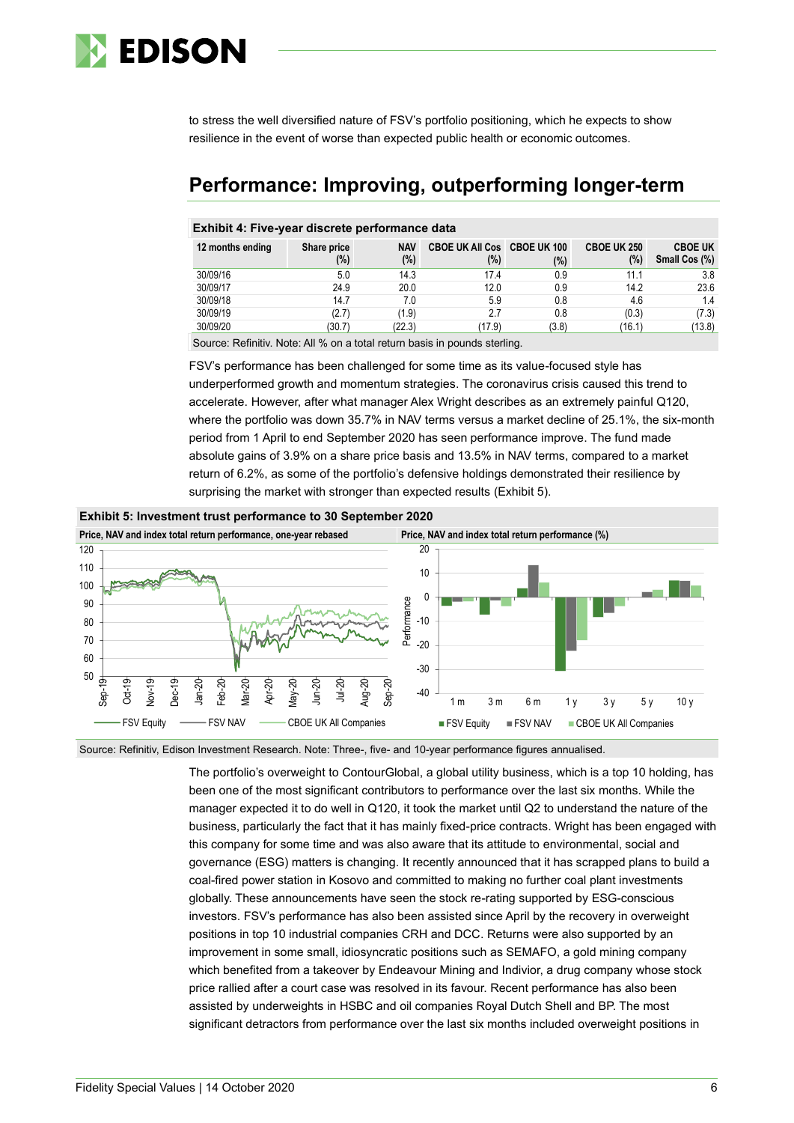

to stress the well diversified nature of FSV's portfolio positioning, which he expects to show resilience in the event of worse than expected public health or economic outcomes.

### **Performance: Improving, outperforming longer-term**

### **Exhibit 4: Five-year discrete performance data**

| 12 months ending | Share price<br>(%) | <b>NAV</b><br>$(\%)$ | CBOE UK All Cos CBOE UK 100<br>(%) | $(\%)$ | <b>CBOE UK 250</b><br>(%) | <b>CBOE UK</b><br>Small Cos (%) |
|------------------|--------------------|----------------------|------------------------------------|--------|---------------------------|---------------------------------|
| 30/09/16         | 5.0                | 14.3                 | 17.4                               | 0.9    | 11.1                      | 3.8                             |
| 30/09/17         | 24.9               | 20.0                 | 12.0                               | 0.9    | 14.2                      | 23.6                            |
| 30/09/18         | 14.7               | 7.0                  | 5.9                                | 0.8    | 4.6                       | 1.4                             |
| 30/09/19         | (2.7)              | (1.9)                | 2.7                                | 0.8    | (0.3)                     | (7.3)                           |
| 30/09/20         | (30.7)             | (22.3)               | (17.9)                             | (3.8)  | (16.1)                    | (13.8)                          |

Source: Refinitiv. Note: All % on a total return basis in pounds sterling.

FSV's performance has been challenged for some time as its value-focused style has underperformed growth and momentum strategies. The coronavirus crisis caused this trend to accelerate. However, after what manager Alex Wright describes as an extremely painful Q120, where the portfolio was down 35.7% in NAV terms versus a market decline of 25.1%, the six-month period from 1 April to end September 2020 has seen performance improve. The fund made absolute gains of 3.9% on a share price basis and 13.5% in NAV terms, compared to a market return of 6.2%, as some of the portfolio's defensive holdings demonstrated their resilience by surprising the market with stronger than expected results (Exhibit 5).



Source: Refinitiv, Edison Investment Research. Note: Three-, five- and 10-year performance figures annualised.

The portfolio's overweight to ContourGlobal, a global utility business, which is a top 10 holding, has been one of the most significant contributors to performance over the last six months. While the manager expected it to do well in Q120, it took the market until Q2 to understand the nature of the business, particularly the fact that it has mainly fixed-price contracts. Wright has been engaged with this company for some time and was also aware that its attitude to environmental, social and governance (ESG) matters is changing. It recently announced that it has scrapped plans to build a coal-fired power station in Kosovo and committed to making no further coal plant investments globally. These announcements have seen the stock re-rating supported by ESG-conscious investors. FSV's performance has also been assisted since April by the recovery in overweight positions in top 10 industrial companies CRH and DCC. Returns were also supported by an improvement in some small, idiosyncratic positions such as SEMAFO, a gold mining company which benefited from a takeover by Endeavour Mining and Indivior, a drug company whose stock price rallied after a court case was resolved in its favour. Recent performance has also been assisted by underweights in HSBC and oil companies Royal Dutch Shell and BP. The most significant detractors from performance over the last six months included overweight positions in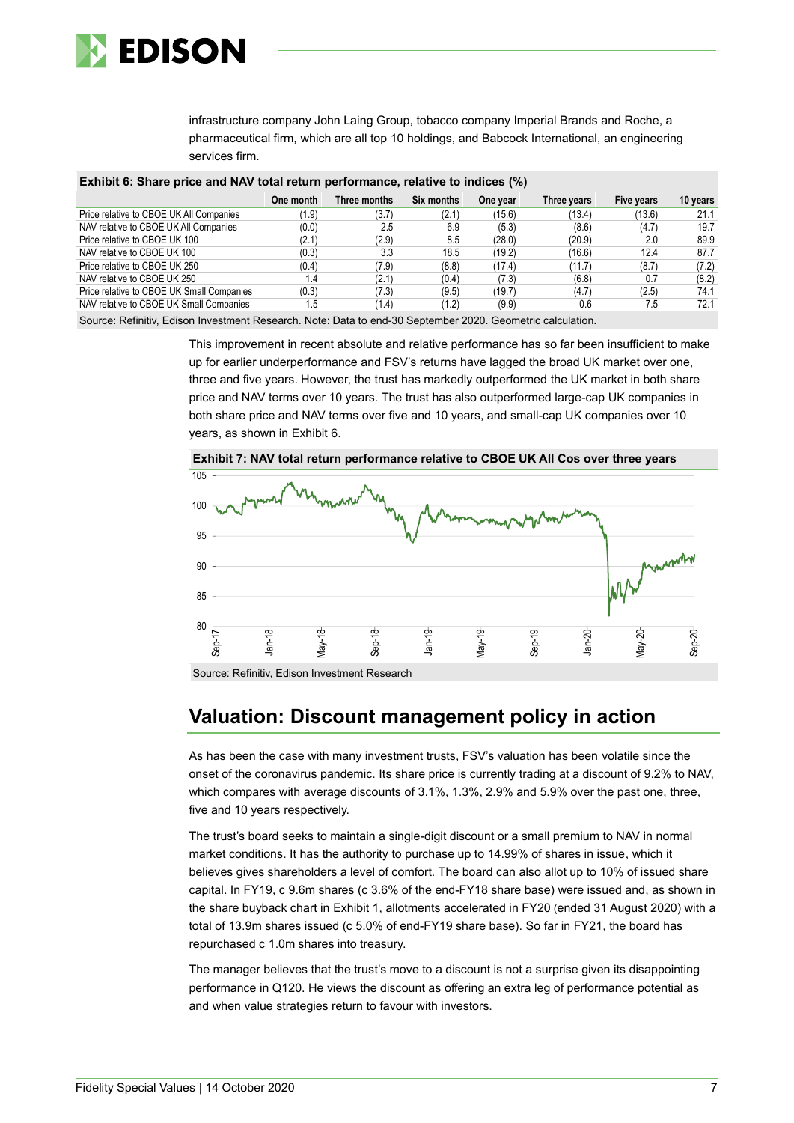

infrastructure company John Laing Group, tobacco company Imperial Brands and Roche, a pharmaceutical firm, which are all top 10 holdings, and Babcock International, an engineering services firm.

| Exhibit 6: Share price and NAV total return performance, relative to indices (%) |           |              |            |          |             |            |          |  |  |  |
|----------------------------------------------------------------------------------|-----------|--------------|------------|----------|-------------|------------|----------|--|--|--|
|                                                                                  | One month | Three months | Six months | One year | Three years | Five years | 10 years |  |  |  |
| Price relative to CBOE UK All Companies                                          | (1.9)     | (3.7)        | (2.1)      | (15.6)   | (13.4)      | (13.6)     | 21.1     |  |  |  |
| NAV relative to CBOE UK All Companies                                            | (0.0)     | 2.5          | 6.9        | (5.3)    | (8.6)       | (4.7)      | 19.7     |  |  |  |
| Price relative to CBOE UK 100                                                    | (2.1)     | (2.9)        | 8.5        | (28.0)   | (20.9)      | 2.0        | 89.9     |  |  |  |
| NAV relative to CBOE UK 100                                                      | (0.3)     | 3.3          | 18.5       | (19.2)   | (16.6)      | 12.4       | 87.7     |  |  |  |
| Price relative to CBOE UK 250                                                    | (0.4)     | (7.9)        | (8.8)      | (17.4)   | (11.7)      | (8.7)      | (7.2)    |  |  |  |
| NAV relative to CBOE UK 250                                                      | 1.4       | (2.1)        | (0.4)      | (7.3)    | (6.8)       | 0.7        | (8.2)    |  |  |  |
| Price relative to CBOE UK Small Companies                                        | (0.3)     | (7.3)        | (9.5)      | (19.7)   | (4.7)       | (2.5)      | 74.1     |  |  |  |
| NAV relative to CBOE UK Small Companies                                          | 1.5       | (1.4)        | (1.2)      | (9.9)    | 0.6         | 7.5        | 72.1     |  |  |  |

**Exhibit 6: Share price and NAV total return performance, relative to indices (%)**

Source: Refinitiv, Edison Investment Research. Note: Data to end-30 September 2020. Geometric calculation.

This improvement in recent absolute and relative performance has so far been insufficient to make up for earlier underperformance and FSV's returns have lagged the broad UK market over one, three and five years. However, the trust has markedly outperformed the UK market in both share price and NAV terms over 10 years. The trust has also outperformed large-cap UK companies in both share price and NAV terms over five and 10 years, and small-cap UK companies over 10 years, as shown in Exhibit 6.



Source: Refinitiv, Edison Investment Research

### **Valuation: Discount management policy in action**

As has been the case with many investment trusts, FSV's valuation has been volatile since the onset of the coronavirus pandemic. Its share price is currently trading at a discount of 9.2% to NAV, which compares with average discounts of 3.1%, 1.3%, 2.9% and 5.9% over the past one, three, five and 10 years respectively.

The trust's board seeks to maintain a single-digit discount or a small premium to NAV in normal market conditions. It has the authority to purchase up to 14.99% of shares in issue, which it believes gives shareholders a level of comfort. The board can also allot up to 10% of issued share capital. In FY19, c 9.6m shares (c 3.6% of the end-FY18 share base) were issued and, as shown in the share buyback chart in Exhibit 1, allotments accelerated in FY20 (ended 31 August 2020) with a total of 13.9m shares issued (c 5.0% of end-FY19 share base). So far in FY21, the board has repurchased c 1.0m shares into treasury.

The manager believes that the trust's move to a discount is not a surprise given its disappointing performance in Q120. He views the discount as offering an extra leg of performance potential as and when value strategies return to favour with investors.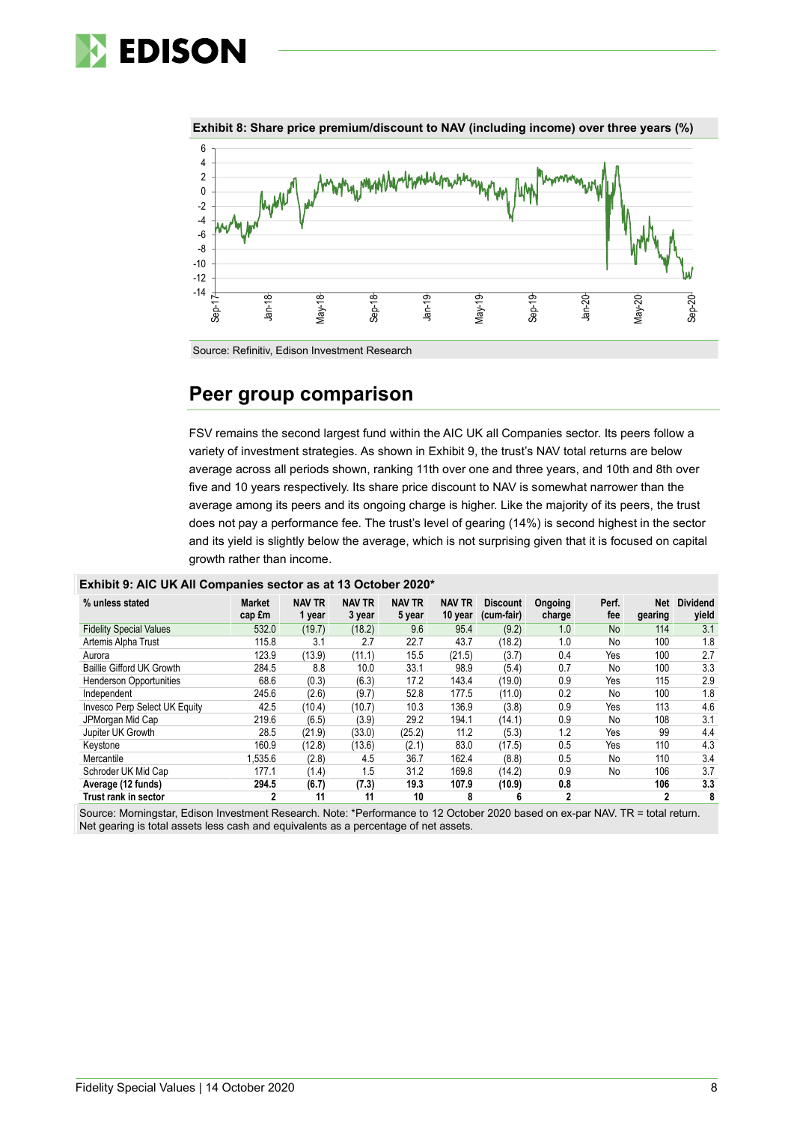



**Exhibit 8: Share price premium/discount to NAV (including income) over three years (%)**

### **Peer group comparison**

FSV remains the second largest fund within the AIC UK all Companies sector. Its peers follow a variety of investment strategies. As shown in Exhibit 9, the trust's NAV total returns are below average across all periods shown, ranking 11th over one and three years, and 10th and 8th over five and 10 years respectively. Its share price discount to NAV is somewhat narrower than the average among its peers and its ongoing charge is higher. Like the majority of its peers, the trust does not pay a performance fee. The trust's level of gearing (14%) is second highest in the sector and its yield is slightly below the average, which is not surprising given that it is focused on capital growth rather than income.

|  |  |  |  | Exhibit 9: AIC UK AII Companies sector as at 13 October 2020* |
|--|--|--|--|---------------------------------------------------------------|
|--|--|--|--|---------------------------------------------------------------|

| % unless stated                | <b>Market</b><br>cap £m | <b>NAV TR</b><br>1 year | <b>NAV TR</b><br>3 year | <b>NAV TR</b><br>5 year | <b>NAV TR</b><br>10 year | <b>Discount</b><br>(cum-fair) | Ongoing<br>charge | Perf.<br>fee | Net<br>gearing | <b>Dividend</b><br>yield |
|--------------------------------|-------------------------|-------------------------|-------------------------|-------------------------|--------------------------|-------------------------------|-------------------|--------------|----------------|--------------------------|
| <b>Fidelity Special Values</b> | 532.0                   | (19.7)                  | (18.2)                  | 9.6                     | 95.4                     | (9.2)                         | 1.0               | <b>No</b>    | 114            | 3.1                      |
| Artemis Alpha Trust            | 115.8                   | 3.1                     | 2.7                     | 22.7                    | 43.7                     | (18.2)                        | 1.0               | No           | 100            | 1.8                      |
| Aurora                         | 123.9                   | (13.9)                  | (11.1)                  | 15.5                    | (21.5)                   | (3.7)                         | 0.4               | Yes          | 100            | 2.7                      |
| Baillie Gifford UK Growth      | 284.5                   | 8.8                     | 10.0                    | 33.1                    | 98.9                     | (5.4)                         | 0.7               | No           | 100            | 3.3                      |
| <b>Henderson Opportunities</b> | 68.6                    | (0.3)                   | (6.3)                   | 17.2                    | 143.4                    | (19.0)                        | 0.9               | Yes          | 115            | 2.9                      |
| Independent                    | 245.6                   | (2.6)                   | (9.7)                   | 52.8                    | 177.5                    | (11.0)                        | 0.2               | No           | 100            | 1.8                      |
| Invesco Perp Select UK Equity  | 42.5                    | (10.4)                  | (10.7)                  | 10.3                    | 136.9                    | (3.8)                         | 0.9               | Yes          | 113            | 4.6                      |
| JPMorgan Mid Cap               | 219.6                   | (6.5)                   | (3.9)                   | 29.2                    | 194.1                    | (14.1)                        | 0.9               | No           | 108            | 3.1                      |
| Jupiter UK Growth              | 28.5                    | (21.9)                  | (33.0)                  | (25.2)                  | 11.2                     | (5.3)                         | 1.2               | Yes          | 99             | 4.4                      |
| Keystone                       | 160.9                   | (12.8)                  | (13.6)                  | (2.1)                   | 83.0                     | (17.5)                        | 0.5               | Yes          | 110            | 4.3                      |
| Mercantile                     | .535.6                  | (2.8)                   | 4.5                     | 36.7                    | 162.4                    | (8.8)                         | 0.5               | No           | 110            | 3.4                      |
| Schroder UK Mid Cap            | 177.1                   | (1.4)                   | 1.5                     | 31.2                    | 169.8                    | (14.2)                        | 0.9               | No           | 106            | 3.7                      |
| Average (12 funds)             | 294.5                   | (6.7)                   | (7.3)                   | 19.3                    | 107.9                    | (10.9)                        | 0.8               |              | 106            | 3.3                      |
| Trust rank in sector           | 2                       | 11                      | 11                      | 10                      | 8                        | 6                             | $\mathbf{2}$      |              | 2              | 8                        |

Source: Morningstar, Edison Investment Research. Note: \*Performance to 12 October 2020 based on ex-par NAV. TR = total return. Net gearing is total assets less cash and equivalents as a percentage of net assets.